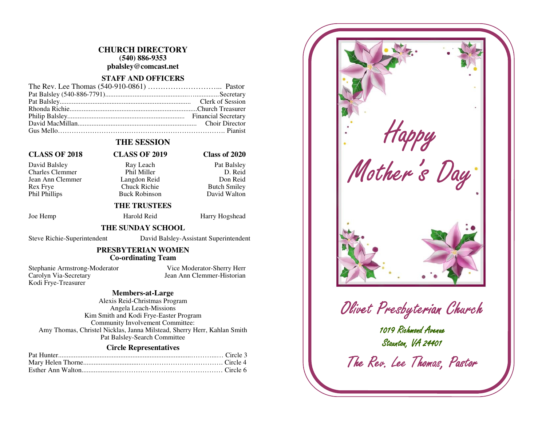#### **CHURCH DIRECTORY (540) 886-9353 pbalsley@comcast.net**

#### **STAFF AND OFFICERS**

# **THE SESSION**

#### **CLASS OF 2018 CLASS OF 2019 Class of 2020**

Charles Clemmer Phil Miller Jean Ann Clemmer Langdon Reid Rex Frye Chuck Richie Phil Phillips Buck Robinson

# David Balsley Ray Leach Pat Balsley

#### D. Reid Don Reid **Butch Smilev** David Walton

#### **THE TRUSTEES**

Joe Hemp Harold Reid Harry Hogshead

#### **THE SUNDAY SCHOOL**

Steve Richie-Superintendent David Balsley-Assistant Superintendent

#### **PRESBYTERIAN WOMEN Co-ordinating Team**

Stephanie Armstrong-Moderator Vice Moderator-Sherry Herr Carolyn Via-Secretary Jean Ann Clemmer-Historian Kodi Frye-Treasurer

#### **Members-at-Large**

 Alexis Reid-Christmas Program Angela Leach-Missions Kim Smith and Kodi Frye-Easter Program Community Involvement Committee: Amy Thomas, Christel Nicklas, Janna Milstead, Sherry Herr, Kahlan Smith Pat Balsley-Search Committee

#### **Circle Representatives**